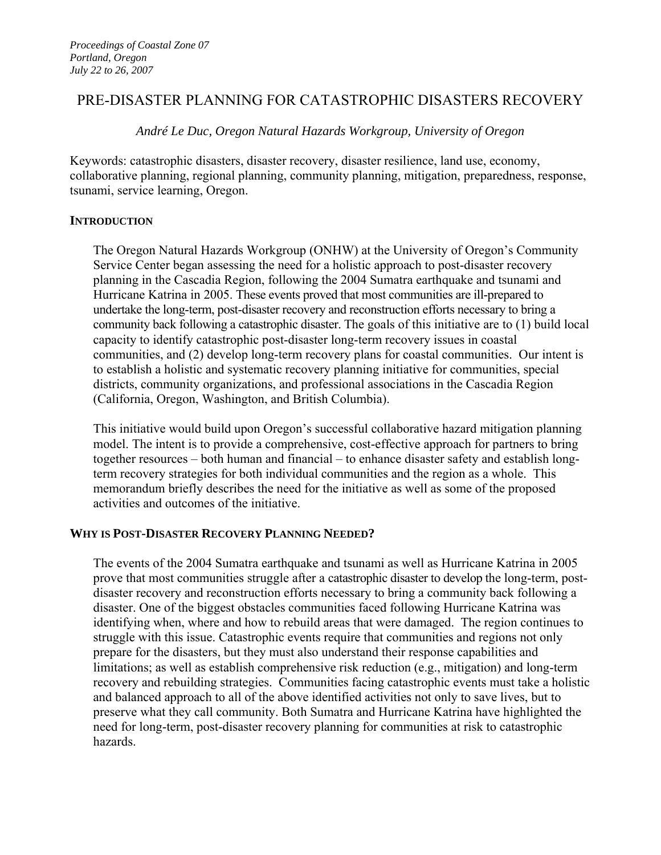# PRE-DISASTER PLANNING FOR CATASTROPHIC DISASTERS RECOVERY

*André Le Duc, Oregon Natural Hazards Workgroup, University of Oregon* 

Keywords: catastrophic disasters, disaster recovery, disaster resilience, land use, economy, collaborative planning, regional planning, community planning, mitigation, preparedness, response, tsunami, service learning, Oregon.

### **INTRODUCTION**

The Oregon Natural Hazards Workgroup (ONHW) at the University of Oregon's Community Service Center began assessing the need for a holistic approach to post-disaster recovery planning in the Cascadia Region, following the 2004 Sumatra earthquake and tsunami and Hurricane Katrina in 2005. These events proved that most communities are ill-prepared to undertake the long-term, post-disaster recovery and reconstruction efforts necessary to bring a community back following a catastrophic disaster. The goals of this initiative are to (1) build local capacity to identify catastrophic post-disaster long-term recovery issues in coastal communities, and (2) develop long-term recovery plans for coastal communities. Our intent is to establish a holistic and systematic recovery planning initiative for communities, special districts, community organizations, and professional associations in the Cascadia Region (California, Oregon, Washington, and British Columbia).

This initiative would build upon Oregon's successful collaborative hazard mitigation planning model. The intent is to provide a comprehensive, cost-effective approach for partners to bring together resources – both human and financial – to enhance disaster safety and establish longterm recovery strategies for both individual communities and the region as a whole. This memorandum briefly describes the need for the initiative as well as some of the proposed activities and outcomes of the initiative.

# **WHY IS POST-DISASTER RECOVERY PLANNING NEEDED?**

The events of the 2004 Sumatra earthquake and tsunami as well as Hurricane Katrina in 2005 prove that most communities struggle after a catastrophic disaster to develop the long-term, postdisaster recovery and reconstruction efforts necessary to bring a community back following a disaster. One of the biggest obstacles communities faced following Hurricane Katrina was identifying when, where and how to rebuild areas that were damaged. The region continues to struggle with this issue. Catastrophic events require that communities and regions not only prepare for the disasters, but they must also understand their response capabilities and limitations; as well as establish comprehensive risk reduction (e.g., mitigation) and long-term recovery and rebuilding strategies. Communities facing catastrophic events must take a holistic and balanced approach to all of the above identified activities not only to save lives, but to preserve what they call community. Both Sumatra and Hurricane Katrina have highlighted the need for long-term, post-disaster recovery planning for communities at risk to catastrophic hazards.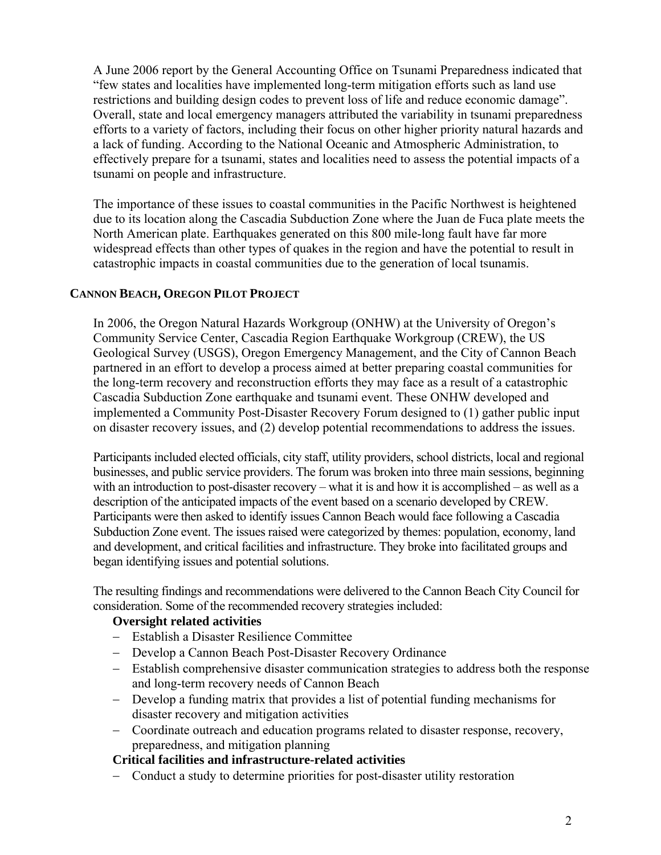A June 2006 report by the General Accounting Office on Tsunami Preparedness indicated that "few states and localities have implemented long-term mitigation efforts such as land use restrictions and building design codes to prevent loss of life and reduce economic damage". Overall, state and local emergency managers attributed the variability in tsunami preparedness efforts to a variety of factors, including their focus on other higher priority natural hazards and a lack of funding. According to the National Oceanic and Atmospheric Administration, to effectively prepare for a tsunami, states and localities need to assess the potential impacts of a tsunami on people and infrastructure.

The importance of these issues to coastal communities in the Pacific Northwest is heightened due to its location along the Cascadia Subduction Zone where the Juan de Fuca plate meets the North American plate. Earthquakes generated on this 800 mile-long fault have far more widespread effects than other types of quakes in the region and have the potential to result in catastrophic impacts in coastal communities due to the generation of local tsunamis.

# **CANNON BEACH, OREGON PILOT PROJECT**

In 2006, the Oregon Natural Hazards Workgroup (ONHW) at the University of Oregon's Community Service Center, Cascadia Region Earthquake Workgroup (CREW), the US Geological Survey (USGS), Oregon Emergency Management, and the City of Cannon Beach partnered in an effort to develop a process aimed at better preparing coastal communities for the long-term recovery and reconstruction efforts they may face as a result of a catastrophic Cascadia Subduction Zone earthquake and tsunami event. These ONHW developed and implemented a Community Post-Disaster Recovery Forum designed to (1) gather public input on disaster recovery issues, and (2) develop potential recommendations to address the issues.

Participants included elected officials, city staff, utility providers, school districts, local and regional businesses, and public service providers. The forum was broken into three main sessions, beginning with an introduction to post-disaster recovery – what it is and how it is accomplished – as well as a description of the anticipated impacts of the event based on a scenario developed by CREW. Participants were then asked to identify issues Cannon Beach would face following a Cascadia Subduction Zone event. The issues raised were categorized by themes: population, economy, land and development, and critical facilities and infrastructure. They broke into facilitated groups and began identifying issues and potential solutions.

The resulting findings and recommendations were delivered to the Cannon Beach City Council for consideration. Some of the recommended recovery strategies included:

#### **Oversight related activities**

- − Establish a Disaster Resilience Committee
- − Develop a Cannon Beach Post-Disaster Recovery Ordinance
- − Establish comprehensive disaster communication strategies to address both the response and long-term recovery needs of Cannon Beach
- − Develop a funding matrix that provides a list of potential funding mechanisms for disaster recovery and mitigation activities
- − Coordinate outreach and education programs related to disaster response, recovery, preparedness, and mitigation planning

# **Critical facilities and infrastructure-related activities**

− Conduct a study to determine priorities for post-disaster utility restoration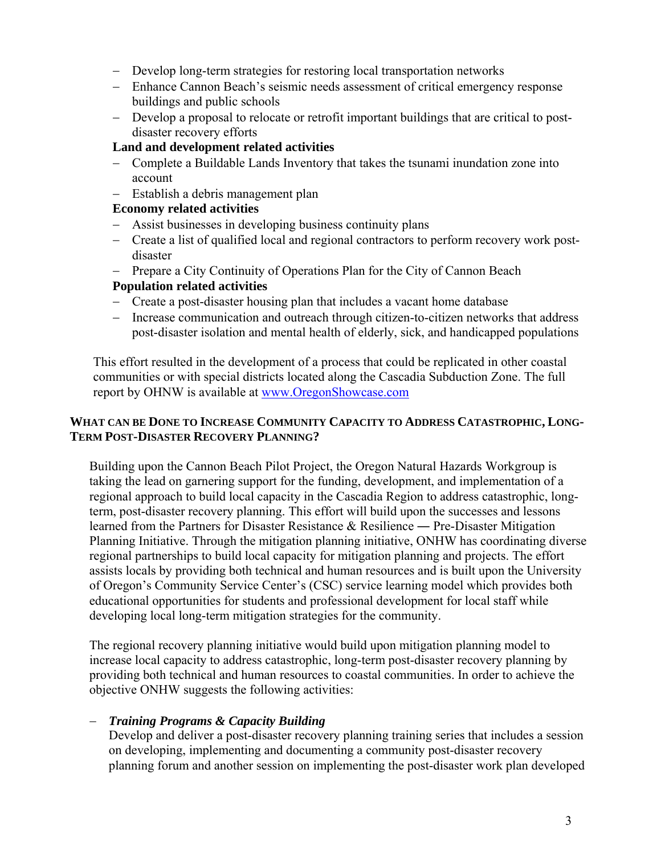- − Develop long-term strategies for restoring local transportation networks
- − Enhance Cannon Beach's seismic needs assessment of critical emergency response buildings and public schools
- − Develop a proposal to relocate or retrofit important buildings that are critical to postdisaster recovery efforts

### **Land and development related activities**

- − Complete a Buildable Lands Inventory that takes the tsunami inundation zone into account
- − Establish a debris management plan

# **Economy related activities**

- − Assist businesses in developing business continuity plans
- − Create a list of qualified local and regional contractors to perform recovery work postdisaster
- − Prepare a City Continuity of Operations Plan for the City of Cannon Beach

### **Population related activities**

- − Create a post-disaster housing plan that includes a vacant home database
- − Increase communication and outreach through citizen-to-citizen networks that address post-disaster isolation and mental health of elderly, sick, and handicapped populations

This effort resulted in the development of a process that could be replicated in other coastal communities or with special districts located along the Cascadia Subduction Zone. The full report by OHNW is available at www.OregonShowcase.com

# **WHAT CAN BE DONE TO INCREASE COMMUNITY CAPACITY TO ADDRESS CATASTROPHIC, LONG-TERM POST-DISASTER RECOVERY PLANNING?**

Building upon the Cannon Beach Pilot Project, the Oregon Natural Hazards Workgroup is taking the lead on garnering support for the funding, development, and implementation of a regional approach to build local capacity in the Cascadia Region to address catastrophic, longterm, post-disaster recovery planning. This effort will build upon the successes and lessons learned from the Partners for Disaster Resistance & Resilience ― Pre-Disaster Mitigation Planning Initiative. Through the mitigation planning initiative, ONHW has coordinating diverse regional partnerships to build local capacity for mitigation planning and projects. The effort assists locals by providing both technical and human resources and is built upon the University of Oregon's Community Service Center's (CSC) service learning model which provides both educational opportunities for students and professional development for local staff while developing local long-term mitigation strategies for the community.

The regional recovery planning initiative would build upon mitigation planning model to increase local capacity to address catastrophic, long-term post-disaster recovery planning by providing both technical and human resources to coastal communities. In order to achieve the objective ONHW suggests the following activities:

#### − *Training Programs & Capacity Building*

Develop and deliver a post-disaster recovery planning training series that includes a session on developing, implementing and documenting a community post-disaster recovery planning forum and another session on implementing the post-disaster work plan developed